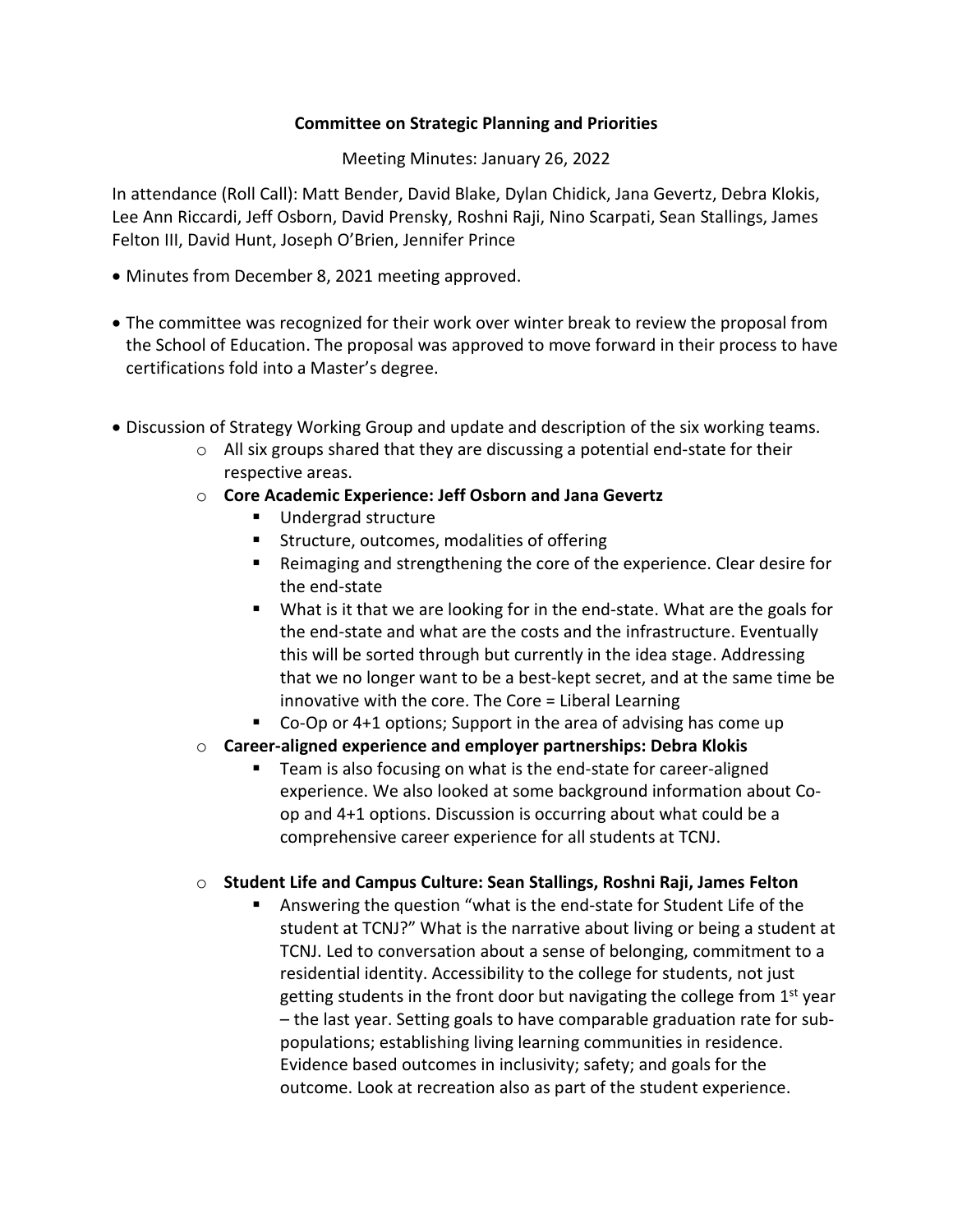## **Committee on Strategic Planning and Priorities**

Meeting Minutes: January 26, 2022

In attendance (Roll Call): Matt Bender, David Blake, Dylan Chidick, Jana Gevertz, Debra Klokis, Lee Ann Riccardi, Jeff Osborn, David Prensky, Roshni Raji, Nino Scarpati, Sean Stallings, James Felton III, David Hunt, Joseph O'Brien, Jennifer Prince

- Minutes from December 8, 2021 meeting approved.
- The committee was recognized for their work over winter break to review the proposal from the School of Education. The proposal was approved to move forward in their process to have certifications fold into a Master's degree.
- Discussion of Strategy Working Group and update and description of the six working teams.
	- $\circ$  All six groups shared that they are discussing a potential end-state for their respective areas.
	- o **Core Academic Experience: Jeff Osborn and Jana Gevertz**
		- Undergrad structure
		- **EXECUTE:** Structure, outcomes, modalities of offering
		- Reimaging and strengthening the core of the experience. Clear desire for the end-state
		- What is it that we are looking for in the end-state. What are the goals for the end-state and what are the costs and the infrastructure. Eventually this will be sorted through but currently in the idea stage. Addressing that we no longer want to be a best-kept secret, and at the same time be innovative with the core. The Core = Liberal Learning
		- Co-Op or 4+1 options; Support in the area of advising has come up
	- o **Career-aligned experience and employer partnerships: Debra Klokis**
		- Team is also focusing on what is the end-state for career-aligned experience. We also looked at some background information about Coop and 4+1 options. Discussion is occurring about what could be a comprehensive career experience for all students at TCNJ.

## o **Student Life and Campus Culture: Sean Stallings, Roshni Raji, James Felton**

 Answering the question "what is the end-state for Student Life of the student at TCNJ?" What is the narrative about living or being a student at TCNJ. Led to conversation about a sense of belonging, commitment to a residential identity. Accessibility to the college for students, not just getting students in the front door but navigating the college from  $1<sup>st</sup>$  year – the last year. Setting goals to have comparable graduation rate for subpopulations; establishing living learning communities in residence. Evidence based outcomes in inclusivity; safety; and goals for the outcome. Look at recreation also as part of the student experience.